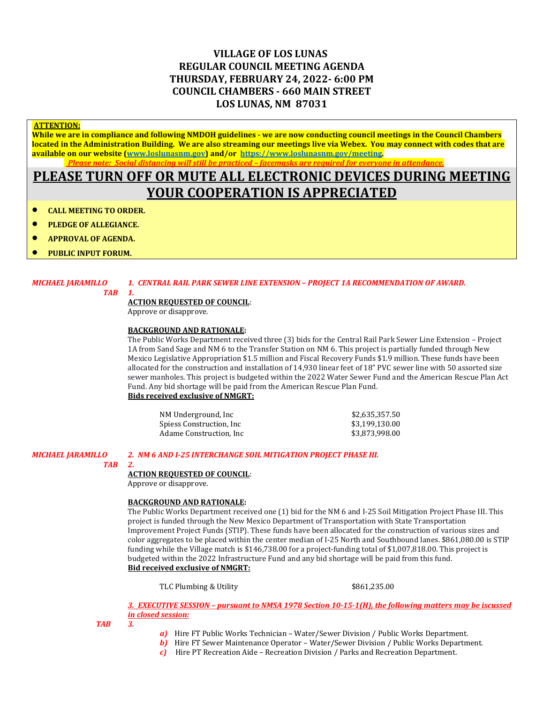### **VILLAGE OF LOS LUNAS REGULAR COUNCIL MEETING AGENDA THURSDAY, FEBRUARY 24, 2022- 6:00 PM COUNCIL CHAMBERS - 660 MAIN STREET LOS LUNAS, NM 87031**

#### **ATTENTION:**

**While we are in compliance and following NMDOH guidelines - we are now conducting council meetings in the Council Chambers located in the Administration Building. We are also streaming our meetings live via Webex. You may connect with codes that are available on our website [\(www.loslunasnm.gov\)](http://www.loslunasnm.gov/) and/or<https://www.loslunasnm.gov/meeting>***. Please note: Social distancing will still be practiced – facemasks are required for everyone in attendance.*

## **PLEASE TURN OFF OR MUTE ALL ELECTRONIC DEVICES DURING MEETING YOUR COOPERATION IS APPRECIATED**

- **CALL MEETING TO ORDER.**
- **PLEDGE OF ALLEGIANCE.**
- **APPROVAL OF AGENDA.**
- **PUBLIC INPUT FORUM.**

#### *MICHAEL JARAMILLO 1. CENTRAL RAIL PARK SEWER LINE EXTENSION – PROJECT 1A RECOMMENDATION OF AWARD.*

 *TAB 1.*

### **ACTION REQUESTED OF COUNCIL**:

Approve or disapprove.

#### **BACKGROUND AND RATIONALE:**

The Public Works Department received three (3) bids for the Central Rail Park Sewer Line Extension – Project 1A from Sand Sage and NM 6 to the Transfer Station on NM 6. This project is partially funded through New Mexico Legislative Appropriation \$1.5 million and Fiscal Recovery Funds \$1.9 million. These funds have been allocated for the construction and installation of 14,930 linear feet of 18" PVC sewer line with 50 assorted size sewer manholes. This project is budgeted within the 2022 Water Sewer Fund and the American Rescue Plan Act Fund. Any bid shortage will be paid from the American Rescue Plan Fund. **Bids received exclusive of NMGRT:**

| NM Underground, Inc.      | \$2,635,357.50 |
|---------------------------|----------------|
| Spiess Construction, Inc. | \$3.199.130.00 |
| Adame Construction. Inc.  | \$3,873,998.00 |

#### *MICHAEL JARAMILLO 2. NM 6 AND I-25 INTERCHANGE SOIL MITIGATION PROJECT PHASE III.*

#### *TAB 2.*

#### **ACTION REQUESTED OF COUNCIL**:

Approve or disapprove.

#### **BACKGROUND AND RATIONALE:**

The Public Works Department received one (1) bid for the NM 6 and I-25 Soil Mitigation Project Phase III. This project is funded through the New Mexico Department of Transportation with State Transportation Improvement Project Funds (STIP). These funds have been allocated for the construction of various sizes and color aggregates to be placed within the center median of I-25 North and Southbound lanes. \$861,080.00 is STIP funding while the Village match is \$146,738.00 for a project-funding total of \$1,007,818.00. This project is budgeted within the 2022 Infrastructure Fund and any bid shortage will be paid from this fund. **Bid received exclusive of NMGRT:**

TLC Plumbing & Utility  $$861,235.00$ 

*3.**EXECUTIVE SESSION – pursuant to NMSA 1978 Section 10-15-1(H), the following matters may be iscussed in closed session:*

*TAB 3.*

- *a)* Hire FT Public Works Technician Water/Sewer Division / Public Works Department.
- *b*) Hire FT Sewer Maintenance Operator Water/Sewer Division / Public Works Department.
- *c)* Hire PT Recreation Aide Recreation Division / Parks and Recreation Department.